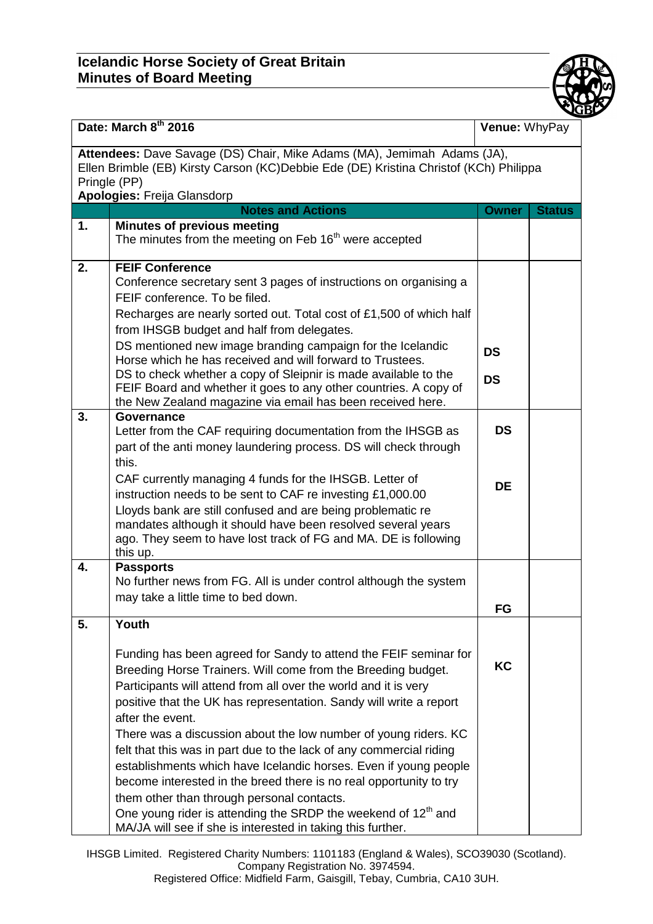## **Icelandic Horse Society of Great Britain Minutes of Board Meeting**



| Date: March 8th 2016                                                                                                                                                                                            |                                                                                                                                                                                                                                                                                                                                                                                                                                                                                                                                                                                                                                                                                                                                                                                      | Venue: WhyPay          |               |  |  |
|-----------------------------------------------------------------------------------------------------------------------------------------------------------------------------------------------------------------|--------------------------------------------------------------------------------------------------------------------------------------------------------------------------------------------------------------------------------------------------------------------------------------------------------------------------------------------------------------------------------------------------------------------------------------------------------------------------------------------------------------------------------------------------------------------------------------------------------------------------------------------------------------------------------------------------------------------------------------------------------------------------------------|------------------------|---------------|--|--|
| Attendees: Dave Savage (DS) Chair, Mike Adams (MA), Jemimah Adams (JA),<br>Ellen Brimble (EB) Kirsty Carson (KC)Debbie Ede (DE) Kristina Christof (KCh) Philippa<br>Pringle (PP)<br>Apologies: Freija Glansdorp |                                                                                                                                                                                                                                                                                                                                                                                                                                                                                                                                                                                                                                                                                                                                                                                      |                        |               |  |  |
|                                                                                                                                                                                                                 | <b>Notes and Actions</b>                                                                                                                                                                                                                                                                                                                                                                                                                                                                                                                                                                                                                                                                                                                                                             | <b>Owner</b>           | <b>Status</b> |  |  |
| 1.                                                                                                                                                                                                              | <b>Minutes of previous meeting</b><br>The minutes from the meeting on Feb 16 <sup>th</sup> were accepted                                                                                                                                                                                                                                                                                                                                                                                                                                                                                                                                                                                                                                                                             |                        |               |  |  |
| 2.                                                                                                                                                                                                              | <b>FEIF Conference</b><br>Conference secretary sent 3 pages of instructions on organising a<br>FEIF conference. To be filed.<br>Recharges are nearly sorted out. Total cost of £1,500 of which half<br>from IHSGB budget and half from delegates.<br>DS mentioned new image branding campaign for the Icelandic<br>Horse which he has received and will forward to Trustees.<br>DS to check whether a copy of Sleipnir is made available to the<br>FEIF Board and whether it goes to any other countries. A copy of<br>the New Zealand magazine via email has been received here.                                                                                                                                                                                                    | <b>DS</b><br><b>DS</b> |               |  |  |
| 3.                                                                                                                                                                                                              | Governance<br>Letter from the CAF requiring documentation from the IHSGB as<br>part of the anti money laundering process. DS will check through<br>this.<br>CAF currently managing 4 funds for the IHSGB. Letter of<br>instruction needs to be sent to CAF re investing £1,000.00<br>Lloyds bank are still confused and are being problematic re<br>mandates although it should have been resolved several years<br>ago. They seem to have lost track of FG and MA. DE is following<br>this up.                                                                                                                                                                                                                                                                                      | <b>DS</b><br><b>DE</b> |               |  |  |
| 4.                                                                                                                                                                                                              | <b>Passports</b><br>No further news from FG. All is under control although the system<br>may take a little time to bed down.                                                                                                                                                                                                                                                                                                                                                                                                                                                                                                                                                                                                                                                         | FG                     |               |  |  |
| 5.                                                                                                                                                                                                              | Youth<br>Funding has been agreed for Sandy to attend the FEIF seminar for<br>Breeding Horse Trainers. Will come from the Breeding budget.<br>Participants will attend from all over the world and it is very<br>positive that the UK has representation. Sandy will write a report<br>after the event.<br>There was a discussion about the low number of young riders. KC<br>felt that this was in part due to the lack of any commercial riding<br>establishments which have Icelandic horses. Even if young people<br>become interested in the breed there is no real opportunity to try<br>them other than through personal contacts.<br>One young rider is attending the SRDP the weekend of 12 <sup>th</sup> and<br>MA/JA will see if she is interested in taking this further. | <b>KC</b>              |               |  |  |

IHSGB Limited. Registered Charity Numbers: 1101183 (England & Wales), SCO39030 (Scotland). Company Registration No. 3974594. Registered Office: Midfield Farm, Gaisgill, Tebay, Cumbria, CA10 3UH.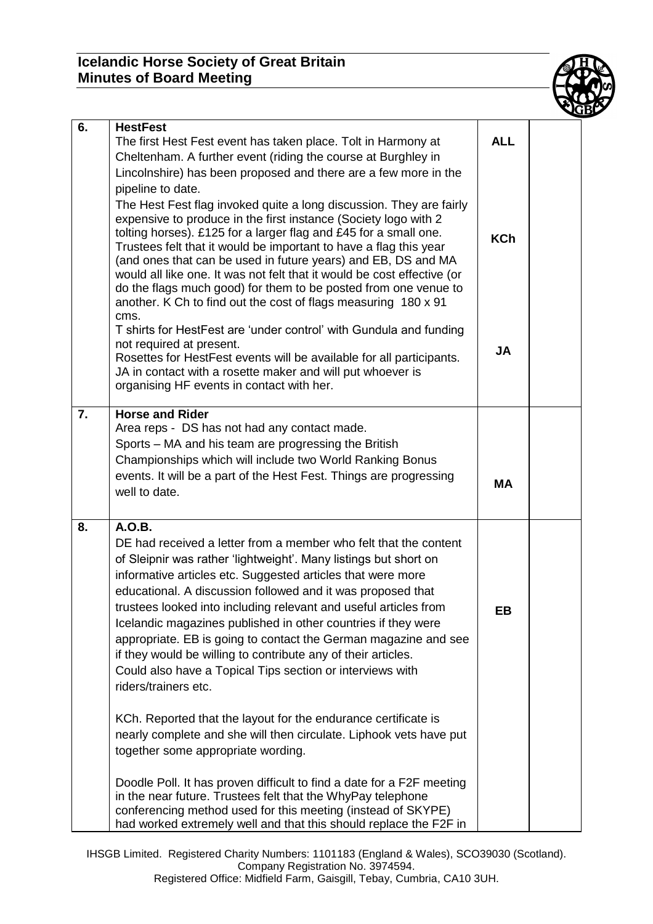## **Icelandic Horse Society of Great Britain Minutes of Board Meeting**



| 6. | <b>HestFest</b><br>The first Hest Fest event has taken place. Tolt in Harmony at<br>Cheltenham. A further event (riding the course at Burghley in                                                                                                                                                                                                                                                                                                                                                                                                                                                                                                                | <b>ALL</b> |  |
|----|------------------------------------------------------------------------------------------------------------------------------------------------------------------------------------------------------------------------------------------------------------------------------------------------------------------------------------------------------------------------------------------------------------------------------------------------------------------------------------------------------------------------------------------------------------------------------------------------------------------------------------------------------------------|------------|--|
|    | Lincolnshire) has been proposed and there are a few more in the<br>pipeline to date.<br>The Hest Fest flag invoked quite a long discussion. They are fairly<br>expensive to produce in the first instance (Society logo with 2<br>tolting horses). £125 for a larger flag and £45 for a small one.<br>Trustees felt that it would be important to have a flag this year<br>(and ones that can be used in future years) and EB, DS and MA<br>would all like one. It was not felt that it would be cost effective (or<br>do the flags much good) for them to be posted from one venue to<br>another. K Ch to find out the cost of flags measuring 180 x 91<br>cms. | <b>KCh</b> |  |
|    | T shirts for HestFest are 'under control' with Gundula and funding<br>not required at present.<br>Rosettes for HestFest events will be available for all participants.<br>JA in contact with a rosette maker and will put whoever is<br>organising HF events in contact with her.                                                                                                                                                                                                                                                                                                                                                                                | <b>JA</b>  |  |
| 7. | <b>Horse and Rider</b><br>Area reps - DS has not had any contact made.<br>Sports – MA and his team are progressing the British<br>Championships which will include two World Ranking Bonus<br>events. It will be a part of the Hest Fest. Things are progressing<br>well to date.                                                                                                                                                                                                                                                                                                                                                                                | <b>MA</b>  |  |
| 8. | A.O.B.<br>DE had received a letter from a member who felt that the content<br>of Sleipnir was rather 'lightweight'. Many listings but short on<br>informative articles etc. Suggested articles that were more<br>educational. A discussion followed and it was proposed that<br>trustees looked into including relevant and useful articles from<br>Icelandic magazines published in other countries if they were<br>appropriate. EB is going to contact the German magazine and see<br>if they would be willing to contribute any of their articles.<br>Could also have a Topical Tips section or interviews with<br>riders/trainers etc.                       | EВ         |  |
|    | KCh. Reported that the layout for the endurance certificate is<br>nearly complete and she will then circulate. Liphook vets have put<br>together some appropriate wording.                                                                                                                                                                                                                                                                                                                                                                                                                                                                                       |            |  |
|    | Doodle Poll. It has proven difficult to find a date for a F2F meeting<br>in the near future. Trustees felt that the WhyPay telephone<br>conferencing method used for this meeting (instead of SKYPE)<br>had worked extremely well and that this should replace the F2F in                                                                                                                                                                                                                                                                                                                                                                                        |            |  |